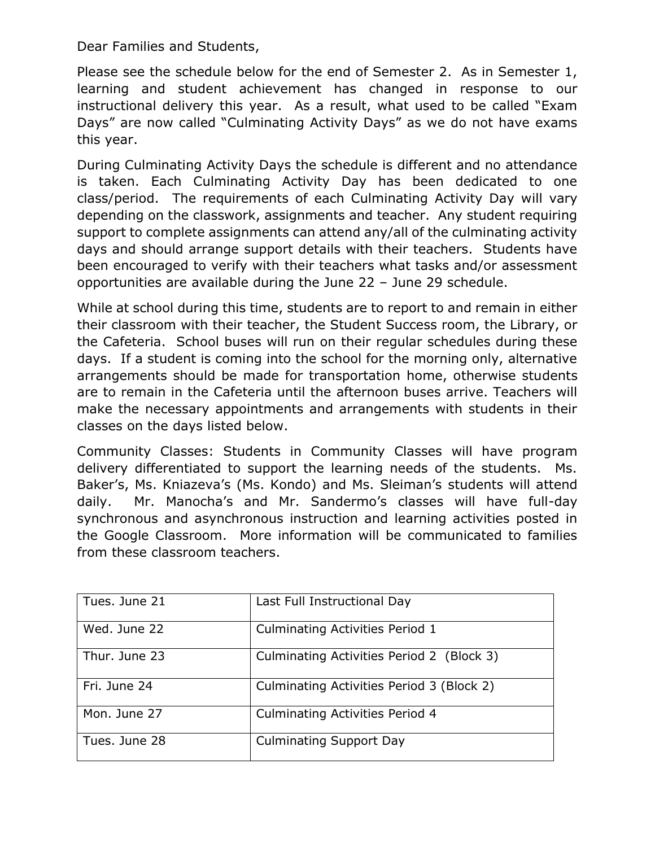Dear Families and Students,

Please see the schedule below for the end of Semester 2. As in Semester 1, learning and student achievement has changed in response to our instructional delivery this year. As a result, what used to be called "Exam Days" are now called "Culminating Activity Days" as we do not have exams this year.

During Culminating Activity Days the schedule is different and no attendance is taken. Each Culminating Activity Day has been dedicated to one class/period. The requirements of each Culminating Activity Day will vary depending on the classwork, assignments and teacher. Any student requiring support to complete assignments can attend any/all of the culminating activity days and should arrange support details with their teachers. Students have been encouraged to verify with their teachers what tasks and/or assessment opportunities are available during the June 22 – June 29 schedule.

While at school during this time, students are to report to and remain in either their classroom with their teacher, the Student Success room, the Library, or the Cafeteria. School buses will run on their regular schedules during these days. If a student is coming into the school for the morning only, alternative arrangements should be made for transportation home, otherwise students are to remain in the Cafeteria until the afternoon buses arrive. Teachers will make the necessary appointments and arrangements with students in their classes on the days listed below.

Community Classes: Students in Community Classes will have program delivery differentiated to support the learning needs of the students. Ms. Baker's, Ms. Kniazeva's (Ms. Kondo) and Ms. Sleiman's students will attend daily. Mr. Manocha's and Mr. Sandermo's classes will have full-day synchronous and asynchronous instruction and learning activities posted in the Google Classroom. More information will be communicated to families from these classroom teachers.

| Tues. June 21 | Last Full Instructional Day               |  |
|---------------|-------------------------------------------|--|
| Wed. June 22  | Culminating Activities Period 1           |  |
| Thur. June 23 | Culminating Activities Period 2 (Block 3) |  |
| Fri. June 24  | Culminating Activities Period 3 (Block 2) |  |
| Mon. June 27  | Culminating Activities Period 4           |  |
| Tues. June 28 | <b>Culminating Support Day</b>            |  |